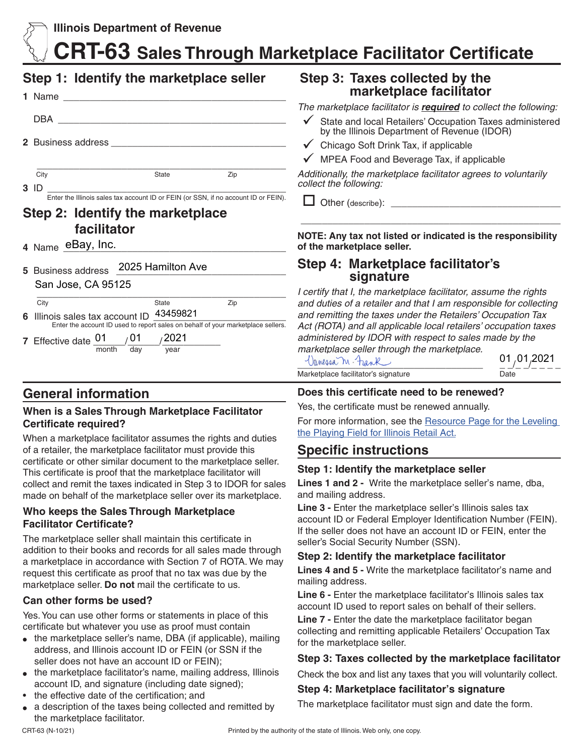## **CRT-63 Sales Through Marketplace Facilitator Certificate**

## **Step 1: Identify the marketplace seller**

|                                                                                                                         | DBA               |       |     |  |  |  |  |
|-------------------------------------------------------------------------------------------------------------------------|-------------------|-------|-----|--|--|--|--|
| 2 Business address ____________                                                                                         |                   |       |     |  |  |  |  |
|                                                                                                                         |                   |       |     |  |  |  |  |
|                                                                                                                         | City              | State | Zip |  |  |  |  |
|                                                                                                                         | 3 ID              |       |     |  |  |  |  |
| Enter the Illinois sales tax account ID or FEIN (or SSN, if no account ID or FEIN).<br>Step 2: Identify the marketplace |                   |       |     |  |  |  |  |
| facilitator                                                                                                             |                   |       |     |  |  |  |  |
|                                                                                                                         | 4 Name eBay, Inc. |       |     |  |  |  |  |

**5** Business address \_\_\_\_\_\_\_\_\_\_\_\_\_\_\_\_\_\_\_\_\_\_\_\_\_\_\_\_\_\_\_\_ 2025 Hamilton Ave

| San Jose, CA 95125 |
|--------------------|
|--------------------|

| City                                                                             |     | State | Zip |  |  |
|----------------------------------------------------------------------------------|-----|-------|-----|--|--|
| 6 Illinois sales tax account ID 43459821                                         |     |       |     |  |  |
| Enter the account ID used to report sales on behalf of your marketplace sellers. |     |       |     |  |  |
| 7 Effective date 01                                                              | /01 | 2021/ |     |  |  |

**7** Effective date  $\frac{91}{\text{month}}$   $\frac{91}{\text{day}}$   $\frac{202}{\text{year}}$ month

## **General information**

### **When is a Sales Through Marketplace Facilitator Certificate required?**

When a marketplace facilitator assumes the rights and duties of a retailer, the marketplace facilitator must provide this certificate or other similar document to the marketplace seller. This certificate is proof that the marketplace facilitator will collect and remit the taxes indicated in Step 3 to IDOR for sales made on behalf of the marketplace seller over its marketplace.

#### **Who keeps the Sales Through Marketplace Facilitator Certificate?**

The marketplace seller shall maintain this certificate in addition to their books and records for all sales made through a marketplace in accordance with Section 7 of ROTA. We may request this certificate as proof that no tax was due by the marketplace seller. **Do not** mail the certificate to us.

### **Can other forms be used?**

Yes. You can use other forms or statements in place of this certificate but whatever you use as proof must contain

- the marketplace seller's name, DBA (if applicable), mailing address, and Illinois account ID or FEIN (or SSN if the seller does not have an account ID or FEIN);
- the marketplace facilitator's name, mailing address, Illinois account ID, and signature (including date signed);
- the effective date of the certification; and
- a description of the taxes being collected and remitted by the marketplace facilitator.

### **Step 3: Taxes collected by the marketplace facilitator**

*The marketplace facilitator is required to collect the following:*

- State and local Retailers' Occupation Taxes administered by the Illinois Department of Revenue (IDOR)
- $\checkmark$  Chicago Soft Drink Tax, if applicable
- $\checkmark$  MPEA Food and Beverage Tax, if applicable

*Additionally, the marketplace facilitator agrees to voluntarily collect the following:*

 $\Box$  Other (describe):

**NOTE: Any tax not listed or indicated is the responsibility of the marketplace seller.** 

\_\_\_\_\_\_\_\_\_\_\_\_\_\_\_\_\_\_\_\_\_\_\_\_\_\_\_\_\_\_\_\_\_\_\_\_\_\_\_\_\_\_\_\_\_\_\_\_\_

# **Step 4: Marketplace facilitator's signature**

*I certify that I, the marketplace facilitator, assume the rights and duties of a retailer and that I am responsible for collecting and remitting the taxes under the Retailers' Occupation Tax Act (ROTA) and all applicable local retailers' occupation taxes administered by IDOR with respect to sales made by the marketplace seller through the marketplace.* 

| Danessa M. Frank                    | 01,01,2021 |
|-------------------------------------|------------|
| Marketplace facilitator's signature | Date       |

### **Does this certificate need to be renewed?**

Yes, the certificate must be renewed annually.

For more information, see the [Resource Page for the Leveling](https://www2.illinois.gov/rev/research/taxinformation/sales/Pages/Level-the-Playing-Field.aspx)  [the Playing Field for Illinois Retail Act.](https://www2.illinois.gov/rev/research/taxinformation/sales/Pages/Level-the-Playing-Field.aspx)

## **Specific instructions**

### **Step 1: Identify the marketplace seller**

**Lines 1 and 2 -** Write the marketplace seller's name, dba, and mailing address.

**Line 3 -** Enter the marketplace seller's Illinois sales tax account ID or Federal Employer Identification Number (FEIN). If the seller does not have an account ID or FEIN, enter the seller's Social Security Number (SSN).

### **Step 2: Identify the marketplace facilitator**

**Lines 4 and 5 -** Write the marketplace facilitator's name and mailing address.

**Line 6 -** Enter the marketplace facilitator's Illinois sales tax account ID used to report sales on behalf of their sellers.

**Line 7 -** Enter the date the marketplace facilitator began collecting and remitting applicable Retailers' Occupation Tax for the marketplace seller.

### **Step 3: Taxes collected by the marketplace facilitator**

Check the box and list any taxes that you will voluntarily collect.

### **Step 4: Marketplace facilitator's signature**

The marketplace facilitator must sign and date the form.